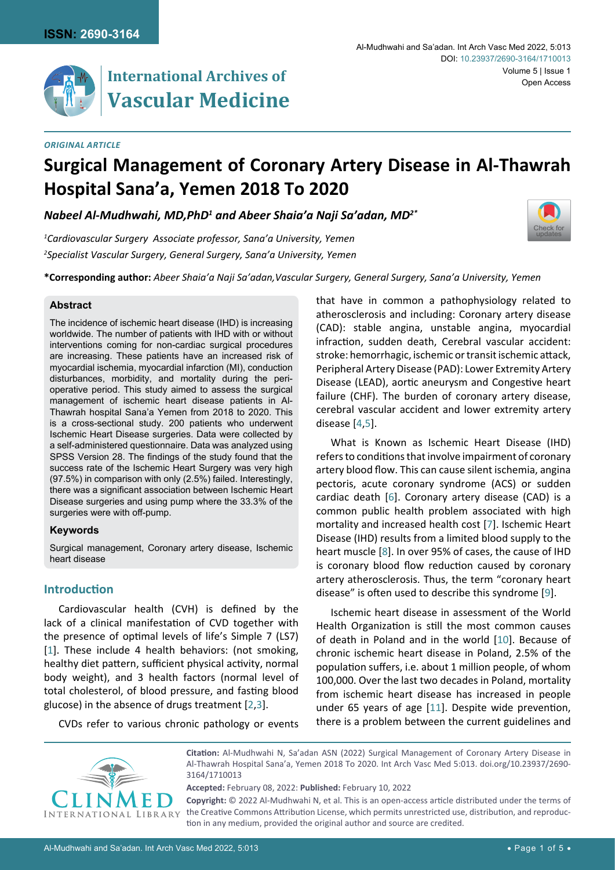

# **Vascular Medicine**

#### *Original Article*

[Check for](http://crossmark.crossref.org/dialog/?doi=10.23937/2690-3164/1710013&domain=pdf) updates

# **Surgical Management of Coronary Artery Disease in Al-Thawrah Hospital Sana'a, Yemen 2018 To 2020**

*Nabeel Al-Mudhwahi, MD,PhD1 and Abeer Shaia'a Naji Sa'adan, MD2\**

*1 Cardiovascular Surgery Associate professor, Sana'a University, Yemen 2 Specialist Vascular Surgery, General Surgery, Sana'a University, Yemen*

**\*Corresponding author:** *Abeer Shaia'a Naji Sa'adan,Vascular Surgery, General Surgery, Sana'a University, Yemen*

#### **Abstract**

The incidence of ischemic heart disease (IHD) is increasing worldwide. The number of patients with IHD with or without interventions coming for non-cardiac surgical procedures are increasing. These patients have an increased risk of myocardial ischemia, myocardial infarction (MI), conduction disturbances, morbidity, and mortality during the perioperative period. This study aimed to assess the surgical management of ischemic heart disease patients in Al-Thawrah hospital Sana'a Yemen from 2018 to 2020. This is a cross-sectional study. 200 patients who underwent Ischemic Heart Disease surgeries. Data were collected by a self-administered questionnaire. Data was analyzed using SPSS Version 28. The findings of the study found that the success rate of the Ischemic Heart Surgery was very high (97.5%) in comparison with only (2.5%) failed. Interestingly, there was a significant association between Ischemic Heart Disease surgeries and using pump where the 33.3% of the surgeries were with off-pump.

# **Keywords**

Surgical management, Coronary artery disease, Ischemic heart disease

# **Introduction**

Cardiovascular health (CVH) is defined by the lack of a clinical manifestation of CVD together with the presence of optimal levels of life's Simple 7 (LS7) [[1](#page-4-8)]. These include 4 health behaviors: (not smoking, healthy diet pattern, sufficient physical activity, normal body weight), and 3 health factors (normal level of total cholesterol, of blood pressure, and fasting blood glucose) in the absence of drugs treatment [\[2,](#page-4-9)[3\]](#page-4-10).

CVDs refer to various chronic pathology or events

that have in common a pathophysiology related to atherosclerosis and including: Coronary artery disease (CAD): stable angina, unstable angina, myocardial infraction, sudden death, Cerebral vascular accident: stroke: hemorrhagic, ischemic or transit ischemic attack, Peripheral Artery Disease (PAD): Lower Extremity Artery Disease (LEAD), aortic aneurysm and Congestive heart failure (CHF). The burden of coronary artery disease, cerebral vascular accident and lower extremity artery disease [\[4](#page-4-0)[,5](#page-4-1)].

What is Known as Ischemic Heart Disease (IHD) refers to conditions that involve impairment of coronary artery blood flow. This can cause silent ischemia, angina pectoris, acute coronary syndrome (ACS) or sudden cardiac death [\[6\]](#page-4-2). Coronary artery disease (CAD) is a common public health problem associated with high mortality and increased health cost [\[7\]](#page-4-3). Ischemic Heart Disease (IHD) results from a limited blood supply to the heart muscle [[8](#page-4-4)]. In over 95% of cases, the cause of IHD is coronary blood flow reduction caused by coronary artery atherosclerosis. Thus, the term "coronary heart disease" is often used to describe this syndrome [[9](#page-4-5)].

Ischemic heart disease in assessment of the World Health Organization is still the most common causes of death in Poland and in the world [\[10\]](#page-4-6). Because of chronic ischemic heart disease in Poland, 2.5% of the population suffers, i.e. about 1 million people, of whom 100,000. Over the last two decades in Poland, mortality from ischemic heart disease has increased in people under 65 years of age [\[11](#page-4-7)]. Despite wide prevention, there is a problem between the current guidelines and



**Citation:** Al-Mudhwahi N, Sa'adan ASN (2022) Surgical Management of Coronary Artery Disease in Al-Thawrah Hospital Sana'a, Yemen 2018 To 2020. Int Arch Vasc Med 5:013. [doi.org/10.23937/2690-](https://doi.org/10.23937/2690-3164/1710013) [3164/1710013](https://doi.org/10.23937/2690-3164/1710013)

**Accepted:** February 08, 2022: **Published:** February 10, 2022

**Copyright:** © 2022 Al-Mudhwahi N, et al. This is an open-access article distributed under the terms of the Creative Commons Attribution License, which permits unrestricted use, distribution, and reproduction in any medium, provided the original author and source are credited.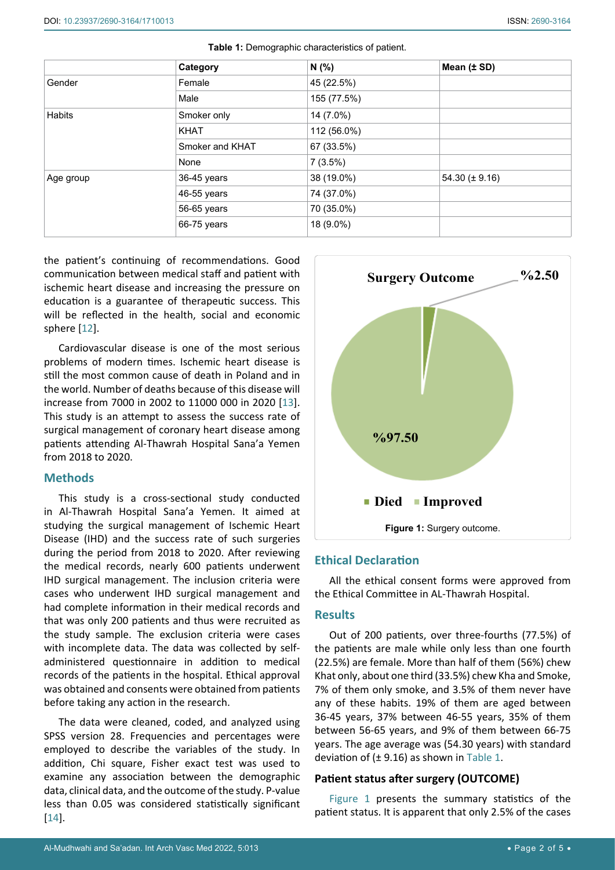|               | Category        | N(% )       | Mean (± SD)        |
|---------------|-----------------|-------------|--------------------|
| Gender        | Female          | 45 (22.5%)  |                    |
|               | Male            | 155 (77.5%) |                    |
| <b>Habits</b> | Smoker only     | 14 (7.0%)   |                    |
|               | <b>KHAT</b>     | 112 (56.0%) |                    |
|               | Smoker and KHAT | 67 (33.5%)  |                    |
|               | None            | 7(3.5%)     |                    |
| Age group     | 36-45 years     | 38 (19.0%)  | $54.30 (\pm 9.16)$ |
|               | 46-55 years     | 74 (37.0%)  |                    |
|               | 56-65 years     | 70 (35.0%)  |                    |
|               | 66-75 years     | 18 (9.0%)   |                    |

<span id="page-1-0"></span>

| Table 1: Demographic characteristics of patient. |  |  |
|--------------------------------------------------|--|--|
|--------------------------------------------------|--|--|

the patient's continuing of recommendations. Good communication between medical staff and patient with ischemic heart disease and increasing the pressure on education is a guarantee of therapeutic success. This will be reflected in the health, social and economic sphere [\[12](#page-4-11)].

Cardiovascular disease is one of the most serious problems of modern times. Ischemic heart disease is still the most common cause of death in Poland and in the world. Number of deaths because of this disease will increase from 7000 in 2002 to 11000 000 in 2020 [\[13](#page-4-12)]. This study is an attempt to assess the success rate of surgical management of coronary heart disease among patients attending Al-Thawrah Hospital Sana'a Yemen from 2018 to 2020.

# **Methods**

This study is a cross-sectional study conducted in Al-Thawrah Hospital Sana'a Yemen. It aimed at studying the surgical management of Ischemic Heart Disease (IHD) and the success rate of such surgeries during the period from 2018 to 2020. After reviewing the medical records, nearly 600 patients underwent IHD surgical management. The inclusion criteria were cases who underwent IHD surgical management and had complete information in their medical records and that was only 200 patients and thus were recruited as the study sample. The exclusion criteria were cases with incomplete data. The data was collected by selfadministered questionnaire in addition to medical records of the patients in the hospital. Ethical approval was obtained and consents were obtained from patients before taking any action in the research.

The data were cleaned, coded, and analyzed using SPSS version 28. Frequencies and percentages were employed to describe the variables of the study. In addition, Chi square, Fisher exact test was used to examine any association between the demographic data, clinical data, and the outcome of the study. P-value less than 0.05 was considered statistically significant [[14](#page-4-13)].

<span id="page-1-1"></span>

# **Ethical Declaration**

All the ethical consent forms were approved from the Ethical Committee in AL-Thawrah Hospital.

# **Results**

Out of 200 patients, over three-fourths (77.5%) of the patients are male while only less than one fourth (22.5%) are female. More than half of them (56%) chew Khat only, about one third (33.5%) chew Kha and Smoke, 7% of them only smoke, and 3.5% of them never have any of these habits. 19% of them are aged between 36-45 years, 37% between 46-55 years, 35% of them between 56-65 years, and 9% of them between 66-75 years. The age average was (54.30 years) with standard deviation of  $(\pm 9.16)$  as shown in [Table 1.](#page-1-0)

# **Patient status after surgery (OUTCOME)**

[Figure 1](#page-1-1) presents the summary statistics of the patient status. It is apparent that only 2.5% of the cases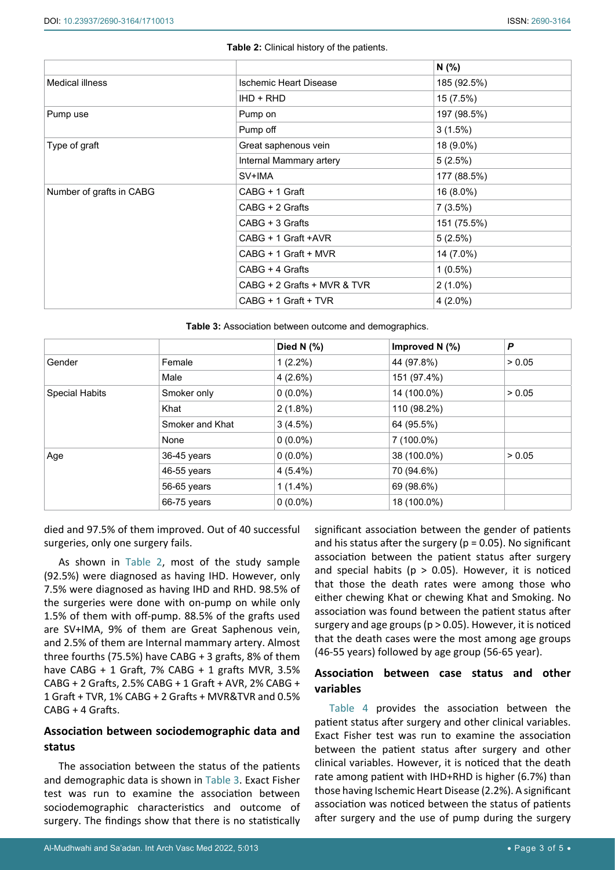<span id="page-2-0"></span>

|                          |                               | N(% )       |
|--------------------------|-------------------------------|-------------|
| Medical illness          | <b>Ischemic Heart Disease</b> | 185 (92.5%) |
|                          | IHD + RHD                     | 15 (7.5%)   |
| Pump use                 | Pump on                       | 197 (98.5%) |
|                          | Pump off                      | 3(1.5%)     |
| Type of graft            | Great saphenous vein          | 18 (9.0%)   |
|                          | Internal Mammary artery       | 5(2.5%)     |
|                          | SV+IMA                        | 177 (88.5%) |
| Number of grafts in CABG | CABG + 1 Graft                | 16 (8.0%)   |
|                          | CABG + 2 Grafts               | 7(3.5%)     |
|                          | CABG + 3 Grafts               | 151 (75.5%) |
|                          | CABG + 1 Graft +AVR           | 5(2.5%)     |
|                          | CABG + 1 Graft + MVR          | 14 (7.0%)   |
|                          | CABG + 4 Grafts               | $1(0.5\%)$  |
|                          | CABG + 2 Grafts + MVR & TVR   | $2(1.0\%)$  |
|                          | CABG + 1 Graft + TVR          | $4(2.0\%)$  |

<span id="page-2-1"></span>**Table 3:** Association between outcome and demographics.

|                       |                 | Died N $(%)$ | Improved N $(%)$ | P      |
|-----------------------|-----------------|--------------|------------------|--------|
| Gender                | Female          | $1(2.2\%)$   | 44 (97.8%)       | > 0.05 |
|                       | Male            | 4(2.6%)      | 151 (97.4%)      |        |
| <b>Special Habits</b> | Smoker only     | $0(0.0\%)$   | 14 (100.0%)      | > 0.05 |
|                       | Khat            | $2(1.8\%)$   | 110 (98.2%)      |        |
|                       | Smoker and Khat | 3(4.5%)      | 64 (95.5%)       |        |
|                       | None            | $0(0.0\%)$   | 7 (100.0%)       |        |
| Age                   | 36-45 years     | $0(0.0\%)$   | 38 (100.0%)      | > 0.05 |
|                       | 46-55 years     | $4(5.4\%)$   | 70 (94.6%)       |        |
|                       | 56-65 years     | $1(1.4\%)$   | 69 (98.6%)       |        |
|                       | 66-75 years     | $0(0.0\%)$   | 18 (100.0%)      |        |

died and 97.5% of them improved. Out of 40 successful surgeries, only one surgery fails.

As shown in [Table 2](#page-2-0), most of the study sample (92.5%) were diagnosed as having IHD. However, only 7.5% were diagnosed as having IHD and RHD. 98.5% of the surgeries were done with on-pump on while only 1.5% of them with off-pump. 88.5% of the grafts used are SV+IMA, 9% of them are Great Saphenous vein, and 2.5% of them are Internal mammary artery. Almost three fourths (75.5%) have CABG + 3 grafts, 8% of them have CABG + 1 Graft,  $7\%$  CABG + 1 grafts MVR,  $3.5\%$ CABG + 2 Grafts, 2.5% CABG + 1 Graft + AVR, 2% CABG + 1 Graft + TVR, 1% CABG + 2 Grafts + MVR&TVR and 0.5% CABG + 4 Grafts.

# **Association between sociodemographic data and status**

The association between the status of the patients and demographic data is shown in [Table 3](#page-2-1). Exact Fisher test was run to examine the association between sociodemographic characteristics and outcome of surgery. The findings show that there is no statistically

significant association between the gender of patients and his status after the surgery ( $p = 0.05$ ). No significant association between the patient status after surgery and special habits ( $p > 0.05$ ). However, it is noticed that those the death rates were among those who either chewing Khat or chewing Khat and Smoking. No association was found between the patient status after surgery and age groups (p > 0.05). However, it is noticed that the death cases were the most among age groups (46-55 years) followed by age group (56-65 year).

# **Association between case status and other variables**

[Table 4](#page-3-0) provides the association between the patient status after surgery and other clinical variables. Exact Fisher test was run to examine the association between the patient status after surgery and other clinical variables. However, it is noticed that the death rate among patient with IHD+RHD is higher (6.7%) than those having Ischemic Heart Disease (2.2%). A significant association was noticed between the status of patients after surgery and the use of pump during the surgery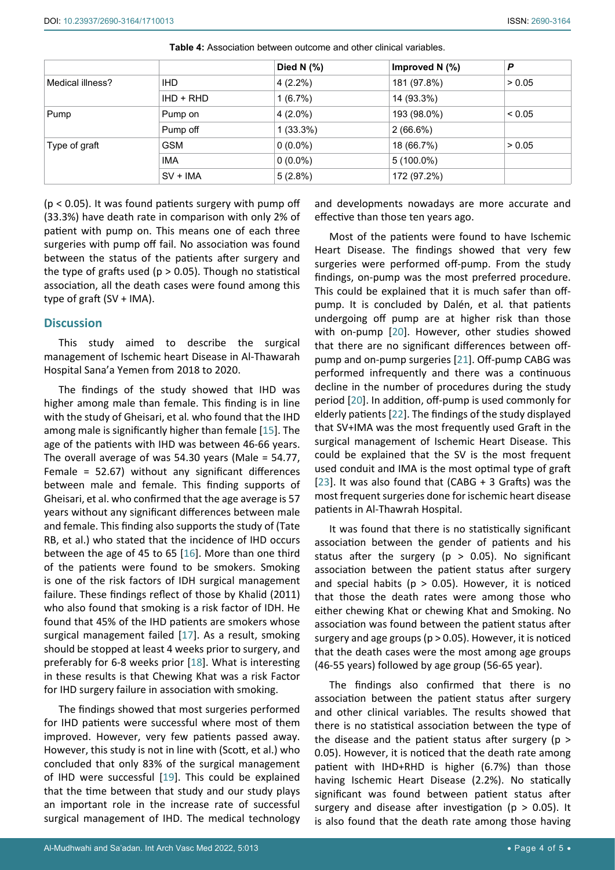|                  |            | Died N $(%)$ | Improved N $(%)$ | P      |
|------------------|------------|--------------|------------------|--------|
| Medical illness? | IHD.       | $4(2.2\%)$   | 181 (97.8%)      | > 0.05 |
|                  | $HD + RHD$ | 1(6.7%)      | 14 (93.3%)       |        |
| Pump             | Pump on    | $4(2.0\%)$   | 193 (98.0%)      | < 0.05 |
|                  | Pump off   | $1(33.3\%)$  | $2(66.6\%)$      |        |
| Type of graft    | <b>GSM</b> | $0(0.0\%)$   | 18 (66.7%)       | > 0.05 |
|                  | <b>IMA</b> | $0(0.0\%)$   | $5(100.0\%)$     |        |
|                  | $SV + IMA$ | 5(2.8%)      | 172 (97.2%)      |        |

<span id="page-3-0"></span>**Table 4:** Association between outcome and other clinical variables.

 $(p < 0.05)$ . It was found patients surgery with pump off (33.3%) have death rate in comparison with only 2% of patient with pump on. This means one of each three surgeries with pump off fail. No association was found between the status of the patients after surgery and the type of grafts used ( $p > 0.05$ ). Though no statistical association, all the death cases were found among this type of graft (SV + IMA).

#### **Discussion**

This study aimed to describe the surgical management of Ischemic heart Disease in Al-Thawarah Hospital Sana'a Yemen from 2018 to 2020.

The findings of the study showed that IHD was higher among male than female. This finding is in line with the study of Gheisari, et al*.* who found that the IHD among male is significantly higher than female [[15\]](#page-4-18). The age of the patients with IHD was between 46-66 years. The overall average of was 54.30 years (Male = 54.77, Female = 52.67) without any significant differences between male and female. This finding supports of Gheisari, et al. who confirmed that the age average is 57 years without any significant differences between male and female. This finding also supports the study of (Tate RB, et al.) who stated that the incidence of IHD occurs between the age of 45 to 65 [[16\]](#page-4-19). More than one third of the patients were found to be smokers. Smoking is one of the risk factors of IDH surgical management failure. These findings reflect of those by Khalid (2011) who also found that smoking is a risk factor of IDH. He found that 45% of the IHD patients are smokers whose surgical management failed [\[17](#page-4-20)]. As a result, smoking should be stopped at least 4 weeks prior to surgery, and preferably for 6-8 weeks prior [[18](#page-4-21)]. What is interesting in these results is that Chewing Khat was a risk Factor for IHD surgery failure in association with smoking.

The findings showed that most surgeries performed for IHD patients were successful where most of them improved. However, very few patients passed away. However, this study is not in line with (Scott, et al.) who concluded that only 83% of the surgical management of IHD were successful [[19](#page-4-22)]. This could be explained that the time between that study and our study plays an important role in the increase rate of successful surgical management of IHD. The medical technology

and developments nowadays are more accurate and effective than those ten years ago.

Most of the patients were found to have Ischemic Heart Disease. The findings showed that very few surgeries were performed off-pump. From the study findings, on-pump was the most preferred procedure. This could be explained that it is much safer than offpump. It is concluded by Dalén, et al*.* that patients undergoing off pump are at higher risk than those with on-pump [[20](#page-4-14)]. However, other studies showed that there are no significant differences between offpump and on-pump surgeries [\[21](#page-4-15)]. Off-pump CABG was performed infrequently and there was a continuous decline in the number of procedures during the study period [[20](#page-4-14)]. In addition, off-pump is used commonly for elderly patients [[22](#page-4-16)]. The findings of the study displayed that SV+IMA was the most frequently used Graft in the surgical management of Ischemic Heart Disease. This could be explained that the SV is the most frequent used conduit and IMA is the most optimal type of graft [\[23](#page-4-17)]. It was also found that (CABG + 3 Grafts) was the most frequent surgeries done for ischemic heart disease patients in Al-Thawrah Hospital.

It was found that there is no statistically significant association between the gender of patients and his status after the surgery ( $p > 0.05$ ). No significant association between the patient status after surgery and special habits ( $p > 0.05$ ). However, it is noticed that those the death rates were among those who either chewing Khat or chewing Khat and Smoking. No association was found between the patient status after surgery and age groups (p > 0.05). However, it is noticed that the death cases were the most among age groups (46-55 years) followed by age group (56-65 year).

The findings also confirmed that there is no association between the patient status after surgery and other clinical variables. The results showed that there is no statistical association between the type of the disease and the patient status after surgery (p > 0.05). However, it is noticed that the death rate among patient with IHD+RHD is higher (6.7%) than those having Ischemic Heart Disease (2.2%). No statically significant was found between patient status after surgery and disease after investigation ( $p > 0.05$ ). It is also found that the death rate among those having